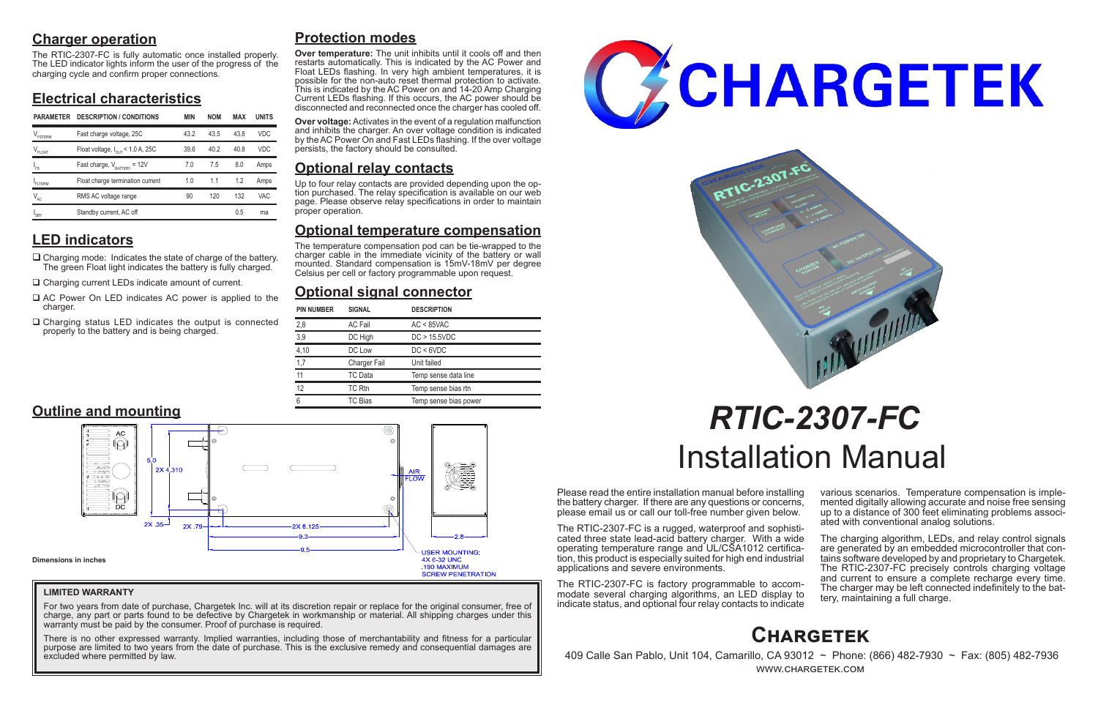# **Charger operation**

The RTIC-2307-FC is fully automatic once installed properly. The LED indicator lights inform the user of the progress of the charging cycle and confirm proper connections.

# **Electrical characteristics**

# **LED indicators**

- $\Box$  Charging mode: Indicates the state of charge of the battery. The green Float light indicates the battery is fully charged.
- □ Charging current LEDs indicate amount of current.
- $\Box$  AC Power On LED indicates AC power is applied to the charger.
- $\Box$  Charging status LED indicates the output is connected properly to the battery and is being charged.

Please read the entire installation manual before installing the battery charger. If there are any questions or concerns, please email us or call our toll-free number given below.

> The charging algorithm, LEDs, and relay control signals are generated by an embedded microcontroller that contains software developed by and proprietary to Chargetek. The RTIC-2307-FC precisely controls charging voltage and current to ensure a complete recharge every time. The charger may be left connected indefinitely to the bat- tery, maintaining a full charge.

The RTIC-2307-FC is a rugged, waterproof and sophisticated three state lead-acid battery charger. With a wide operating temperature range and UL/CSA1012 certification, this product is especially suited for high end industrial applications and severe environments.

The RTIC-2307-FC is factory programmable to accommodate several charging algorithms, an LED display to indicate status, and optional four relay contacts to indicate

various scenarios. Temperature compensation is imple- mented digitally allowing accurate and noise free sensing up to a distance of 300 feet eliminating problems associ- ated with conventional analog solutions.

For two years from date of purchase, Chargetek Inc. will at its discretion repair or replace for the original consumer, free of charge, any part or parts found to be defective by Chargetek in workmanship or material. All shipping charges under this warranty must be paid by the consumer. Proof of purchase is required.

# *RTIC-2307-FC* Installation Manual

# **Protection modes**

**Over temperature:** The unit inhibits until it cools off and then restarts automatically. This is indicated by the AC Power and Float LEDs flashing. In very high ambient temperatures, it is possible for the non-auto reset thermal protection to activate. This is indicated by the AC Power on and 14-20 Amp Charging Current LEDs flashing. If this occurs, the AC power should be disconnected and reconnected once the charger has cooled off.

**Over voltage:** Activates in the event of a regulation malfunction and inhibits the charger. An over voltage condition is indicated by the AC Power On and Fast LEDs flashing. If the over voltage persists, the factory should be consulted.

# **Optional relay contacts**

Up to four relay contacts are provided depending upon the op- tion purchased. The relay specification is available on our web page. Please observe relay specifications in order to maintain proper operation.

# **Optional temperature compensation**

The temperature compensation pod can be tie-wrapped to the charger cable in the immediate vicinity of the battery or wall mounted. Standard compensation is 15mV-18mV per degree Celsius per cell or factory programmable upon request.

# **Optional signal connector**



 409 Calle San Pablo, Unit 104, Camarillo, CA 93012 ~ Phone: (866) 482-7930 ~ Fax: (805) 482-7936 www.chargetek.com

| <b>PIN NUMBER</b> | <b>SIGNAL</b>       | <b>DESCRIPTION</b>    |
|-------------------|---------------------|-----------------------|
| 2,8               | <b>AC Fail</b>      | $AC < 85$ VAC         |
| 3,9               | DC High             | DC > 15.5VDC          |
| 4,10              | DC Low              | DC < 6VDC             |
| 1,7               | <b>Charger Fail</b> | Unit failed           |
| 11                | TC Data             | Temp sense data line  |
| 12                | TC Rtn              | Temp sense bias rtn   |
| 6                 | TC Bias             | Temp sense bias power |



## **LIMITED WARRANTY**

There is no other expressed warranty. Implied warranties, including those of merchantability and fitness for a particular purpose are limited to two years from the date of purchase. This is the exclusive remedy and consequential damages are excluded where permitted by law.





| <b>PARAMETER</b>           | <b>DESCRIPTION / CONDITIONS</b>              | <b>MIN</b> | <b>NOM</b> | MAX  | <b>UNITS</b> |
|----------------------------|----------------------------------------------|------------|------------|------|--------------|
| $V_{\texttt{FSTERM}}$      | Fast charge voltage, 25C                     | 43.2       | 43.5       | 438  | <b>VDC</b>   |
| V <sub>FLOAT</sub>         | Float voltage, $I_{\text{out}}$ < 1.0 A, 25C | 39.6       | 40.2       | 40.8 | <b>VDC</b>   |
| 'FS                        | Fast charge, $V_{\text{BATTARY}}$ = 12V      | 7.0        | 7.5        | 8.0  | Amps         |
| FI TFRM                    | Float charge termination current             | 1.0        | 1.1        | 1.2  | Amps         |
| $\mathsf{V}_{\mathsf{AC}}$ | RMS AC voltage range                         | 90         | 120        | 132  | VAC          |
| <b>SBY</b>                 | Standby current, AC off                      |            |            | 0.5  | ma           |